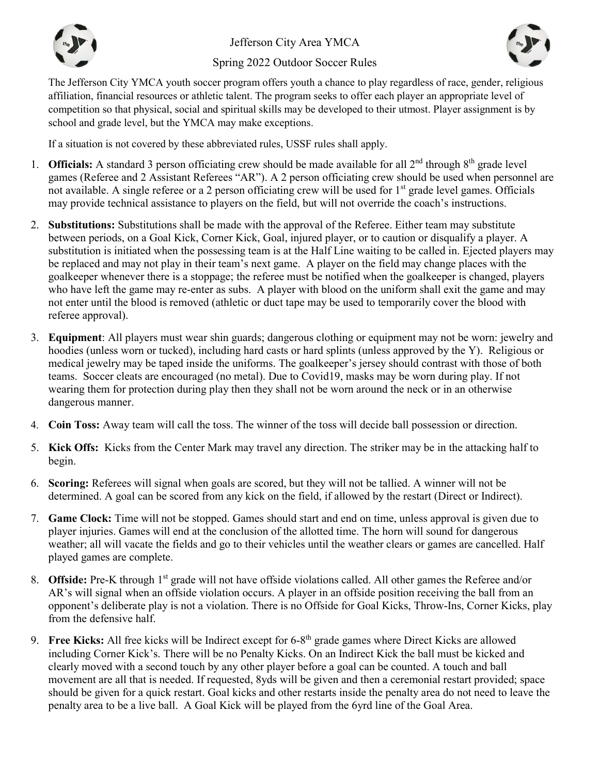

Jefferson City Area YMCA

Spring 2022 Outdoor Soccer Rules



The Jefferson City YMCA youth soccer program offers youth a chance to play regardless of race, gender, religious affiliation, financial resources or athletic talent. The program seeks to offer each player an appropriate level of competition so that physical, social and spiritual skills may be developed to their utmost. Player assignment is by school and grade level, but the YMCA may make exceptions.

If a situation is not covered by these abbreviated rules, USSF rules shall apply.

- 1. **Officials:** A standard 3 person officiating crew should be made available for all  $2<sup>nd</sup>$  through  $8<sup>th</sup>$  grade level games (Referee and 2 Assistant Referees "AR"). A 2 person officiating crew should be used when personnel are not available. A single referee or a 2 person officiating crew will be used for  $1<sup>st</sup>$  grade level games. Officials may provide technical assistance to players on the field, but will not override the coach's instructions.
- 2. **Substitutions:** Substitutions shall be made with the approval of the Referee. Either team may substitute between periods, on a Goal Kick, Corner Kick, Goal, injured player, or to caution or disqualify a player. A substitution is initiated when the possessing team is at the Half Line waiting to be called in. Ejected players may be replaced and may not play in their team's next game. A player on the field may change places with the goalkeeper whenever there is a stoppage; the referee must be notified when the goalkeeper is changed, players who have left the game may re-enter as subs. A player with blood on the uniform shall exit the game and may not enter until the blood is removed (athletic or duct tape may be used to temporarily cover the blood with referee approval).
- 3. **Equipment**: All players must wear shin guards; dangerous clothing or equipment may not be worn: jewelry and hoodies (unless worn or tucked), including hard casts or hard splints (unless approved by the Y). Religious or medical jewelry may be taped inside the uniforms. The goalkeeper's jersey should contrast with those of both teams. Soccer cleats are encouraged (no metal). Due to Covid19, masks may be worn during play. If not wearing them for protection during play then they shall not be worn around the neck or in an otherwise dangerous manner.
- 4. **Coin Toss:** Away team will call the toss. The winner of the toss will decide ball possession or direction.
- 5. **Kick Offs:** Kicks from the Center Mark may travel any direction. The striker may be in the attacking half to begin.
- 6. **Scoring:** Referees will signal when goals are scored, but they will not be tallied. A winner will not be determined. A goal can be scored from any kick on the field, if allowed by the restart (Direct or Indirect).
- 7. **Game Clock:** Time will not be stopped. Games should start and end on time, unless approval is given due to player injuries. Games will end at the conclusion of the allotted time. The horn will sound for dangerous weather; all will vacate the fields and go to their vehicles until the weather clears or games are cancelled. Half played games are complete.
- 8. **Offside:** Pre-K through 1<sup>st</sup> grade will not have offside violations called. All other games the Referee and/or AR's will signal when an offside violation occurs. A player in an offside position receiving the ball from an opponent's deliberate play is not a violation. There is no Offside for Goal Kicks, Throw-Ins, Corner Kicks, play from the defensive half.
- 9. **Free Kicks:** All free kicks will be Indirect except for 6-8th grade games where Direct Kicks are allowed including Corner Kick's. There will be no Penalty Kicks. On an Indirect Kick the ball must be kicked and clearly moved with a second touch by any other player before a goal can be counted. A touch and ball movement are all that is needed. If requested, 8yds will be given and then a ceremonial restart provided; space should be given for a quick restart. Goal kicks and other restarts inside the penalty area do not need to leave the penalty area to be a live ball. A Goal Kick will be played from the 6yrd line of the Goal Area.